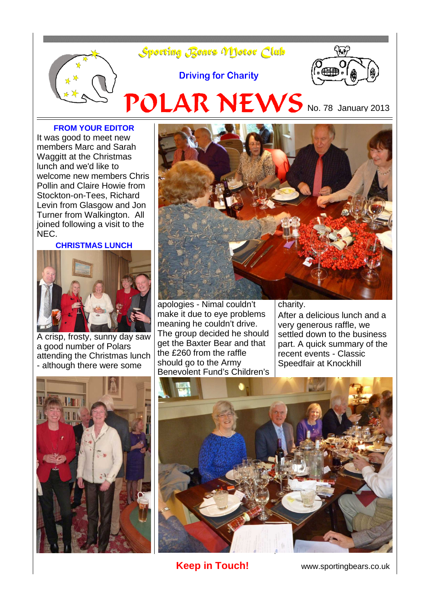

#### **FROM YOUR EDITOR**

It was good to meet new members Marc and Sarah Waggitt at the Christmas lunch and we'd like to welcome new members Chris Pollin and Claire Howie from Stockton-on-Tees, Richard Levin from Glasgow and Jon Turner from Walkington. All joined following a visit to the NEC.

#### **CHRISTMAS LUNCH**



A crisp, frosty, sunny day saw a good number of Polars attending the Christmas lunch - although there were some





apologies - Nimal couldn't make it due to eye problems meaning he couldn't drive. The group decided he should get the Baxter Bear and that the £260 from the raffle should go to the Army Benevolent Fund's Children's charity.

After a delicious lunch and a very generous raffle, we settled down to the business part. A quick summary of the recent events - Classic Speedfair at Knockhill



**Keep in Touch!** www.sportingbears.co.uk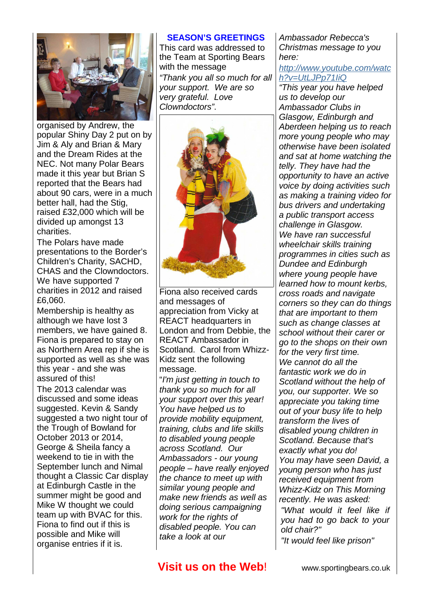

organised by Andrew, the popular Shiny Day 2 put on by Jim & Aly and Brian & Mary and the Dream Rides at the NEC. Not many Polar Bears made it this year but Brian S reported that the Bears had about 90 cars, were in a much better hall, had the Stig, raised £32,000 which will be divided up amongst 13 charities.

The Polars have made presentations to the Border's Children's Charity, SACHD, CHAS and the Clowndoctors. We have supported 7 charities in 2012 and raised £6,060.

Membership is healthy as although we have lost 3 members, we have gained 8. Fiona is prepared to stay on as Northern Area rep if she is supported as well as she was this year - and she was assured of this!

The 2013 calendar was discussed and some ideas suggested. Kevin & Sandy suggested a two night tour of the Trough of Bowland for October 2013 or 2014, George & Sheila fancy a weekend to tie in with the September lunch and Nimal thought a Classic Car display at Edinburgh Castle in the summer might be good and Mike W thought we could team up with BVAC for this. Fiona to find out if this is possible and Mike will organise entries if it is.

### **SEASON'S GREETINGS**

This card was addressed to the Team at Sporting Bears with the message "Thank you all so much for all your support. We are so very grateful. Love Clowndoctors".



Fiona also received cards and messages of appreciation from Vicky at REACT headquarters in London and from Debbie, the REACT Ambassador in Scotland. Carol from Whizz-Kidz sent the following message.

"I'm just getting in touch to thank you so much for all your support over this year! You have helped us to provide mobility equipment, training, clubs and life skills to disabled young people across Scotland. Our Ambassadors - our young people – have really enjoyed the chance to meet up with similar young people and make new friends as well as doing serious campaigning work for the rights of disabled people. You can take a look at our

Ambassador Rebecca's Christmas message to you here:

### [http://www.youtube.com/watc](http://whizz-kidz.us1.list-manage.com/track/click?u=33f28eb3b64115646f7c22204&id=9314cd939d&e=6046cfafb2) [h?v=UtLJPp71IiQ](http://whizz-kidz.us1.list-manage.com/track/click?u=33f28eb3b64115646f7c22204&id=9314cd939d&e=6046cfafb2)

"This year you have helped us to develop our Ambassador Clubs in Glasgow, Edinburgh and Aberdeen helping us to reach more young people who may otherwise have been isolated and sat at home watching the telly. They have had the opportunity to have an active voice by doing activities such as making a training video for bus drivers and undertaking a public transport access challenge in Glasgow. We have ran successful wheelchair skills training programmes in cities such as Dundee and Edinburgh where young people have learned how to mount kerbs, cross roads and navigate corners so they can do things that are important to them such as change classes at school without their carer or go to the shops on their own for the very first time. We cannot do all the fantastic work we do in Scotland without the help of you, our supporter. We so appreciate you taking time out of your busy life to help transform the lives of disabled young children in Scotland. Because that's exactly what you do! You may have seen David, a young person who has just received equipment from Whizz-Kidz on This Morning recently. He was asked: "What would it feel like if you had to go back to your old chair?" "It would feel like prison"

## **Visit us on the Web!** www.sportingbears.co.uk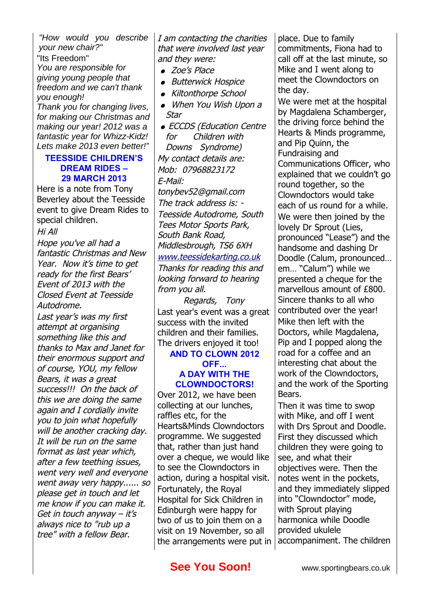"How would you describe your new chair?"

"Its Freedom" You are responsible for giving young people that freedom and we can't thank you enough!

Thank you for changing lives, for making our Christmas and making our year! 2012 was a fantastic year for Whizz-Kidz! Lets make 2013 even better!"

## **TEESSIDE CHILDREN'S DREAM RIDES – 29 MARCH 2013**

Here is a note from Tony Beverley about the Teesside event to give Dream Rides to special children.

Hi All

Hope you've all had a fantastic Christmas and New Year. Now it's time to get ready for the first Bears' Event of 2013 with the Closed Event at Teesside Autodrome.

Last year's was my first attempt at organising something like this and thanks to Max and Janet for their enormous support and of course, YOU, my fellow Bears, it was a great success!!! On the back of this we are doing the same again and I cordially invite you to join what hopefully will be another cracking day. It will be run on the same format as last year which, after a few teething issues, went very well and everyone went away very happy...... so please get in touch and let me know if you can make it. Get in touch anyway  $-$  it's always nice to "rub up a tree" with a fellow Bear.

I am contacting the charities that were involved last year and they were:

- Zoe's Place
- Butterwick Hospice
- Kiltonthorpe School
- When You Wish Upon a Star
- ECCDS (Education Centre for Children with Downs Syndrome) My contact details are: Mob: 07968823172 E-Mail: tonybev52@gmail.com The track address is: - Teesside Autodrome, South Tees Motor Sports Park, South Bank Road, Middlesbrough, TS6 6XH [www.teessidekarting.co.uk](http://www.teessidekarting.co.uk/) Thanks for reading this and looking forward to hearing from you all.

Regards, Tony Last year's event was a great success with the invited children and their families. The drivers enjoyed it too!

## **AND TO CLOWN 2012 OFF... A DAY WITH THE CLOWNDOCTORS!**

Over 2012, we have been collecting at our lunches, raffles etc, for the Hearts&Minds Clowndoctors programme. We suggested that, rather than just hand over a cheque, we would like to see the Clowndoctors in action, during a hospital visit. Fortunately, the Royal Hospital for Sick Children in Edinburgh were happy for two of us to join them on a visit on 19 November, so all the arrangements were put in

place. Due to family commitments, Fiona had to call off at the last minute, so Mike and I went along to meet the Clowndoctors on the day.

We were met at the hospital by Magdalena Schamberger, the driving force behind the Hearts & Minds programme, and Pip Quinn, the Fundraising and Communications Officer, who explained that we couldn't go round together, so the Clowndoctors would take each of us round for a while. We were then joined by the lovely Dr Sprout (Lies, pronounced "Lease") and the handsome and dashing Dr Doodle (Calum, pronounced… em… "Calum") while we presented a cheque for the marvellous amount of £800. Sincere thanks to all who contributed over the year! Mike then left with the Doctors, while Magdalena, Pip and I popped along the road for a coffee and an interesting chat about the work of the Clowndoctors, and the work of the Sporting Bears.

Then it was time to swop with Mike, and off I went with Drs Sprout and Doodle. First they discussed which children they were going to see, and what their objectives were. Then the notes went in the pockets, and they immediately slipped into "Clowndoctor" mode, with Sprout playing harmonica while Doodle provided ukulele accompaniment. The children

# **See You Soon!** www.sportingbears.co.uk